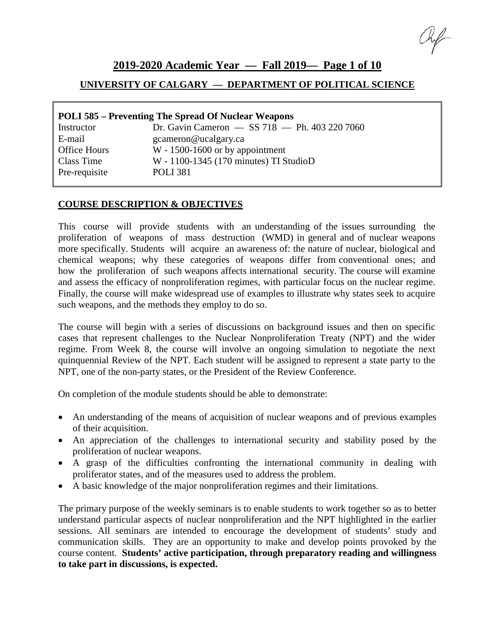# **2019-2020 Academic Year — Fall 2019— Page 1 of 10**

# **UNIVERSITY OF CALGARY — DEPARTMENT OF POLITICAL SCIENCE**

| <b>POLI 585 – Preventing The Spread Of Nuclear Weapons</b> |                                               |  |  |  |  |  |  |  |
|------------------------------------------------------------|-----------------------------------------------|--|--|--|--|--|--|--|
| Instructor                                                 | Dr. Gavin Cameron - SS 718 - Ph. 403 220 7060 |  |  |  |  |  |  |  |
| E-mail                                                     | gcameron@ucalgary.ca                          |  |  |  |  |  |  |  |
| <b>Office Hours</b>                                        | $W - 1500 - 1600$ or by appointment           |  |  |  |  |  |  |  |
| Class Time                                                 | W - 1100-1345 (170 minutes) TI StudioD        |  |  |  |  |  |  |  |
| Pre-requisite                                              | <b>POLI 381</b>                               |  |  |  |  |  |  |  |

### **COURSE DESCRIPTION & OBJECTIVES**

This course will provide students with an understanding of the issues surrounding the proliferation of weapons of mass destruction (WMD) in general and of nuclear weapons more specifically. Students will acquire an awareness of: the nature of nuclear, biological and chemical weapons; why these categories of weapons differ from conventional ones; and how the proliferation of such weapons affects international security. The course will examine and assess the efficacy of nonproliferation regimes, with particular focus on the nuclear regime. Finally, the course will make widespread use of examples to illustrate why states seek to acquire such weapons, and the methods they employ to do so.

The course will begin with a series of discussions on background issues and then on specific cases that represent challenges to the Nuclear Nonproliferation Treaty (NPT) and the wider regime. From Week 8, the course will involve an ongoing simulation to negotiate the next quinquennial Review of the NPT. Each student will be assigned to represent a state party to the NPT, one of the non-party states, or the President of the Review Conference.

On completion of the module students should be able to demonstrate:

- An understanding of the means of acquisition of nuclear weapons and of previous examples of their acquisition.
- An appreciation of the challenges to international security and stability posed by the proliferation of nuclear weapons.
- A grasp of the difficulties confronting the international community in dealing with proliferator states, and of the measures used to address the problem.
- A basic knowledge of the major nonproliferation regimes and their limitations.

The primary purpose of the weekly seminars is to enable students to work together so as to better understand particular aspects of nuclear nonproliferation and the NPT highlighted in the earlier sessions. All seminars are intended to encourage the development of students' study and communication skills. They are an opportunity to make and develop points provoked by the course content. **Students' active participation, through preparatory reading and willingness to take part in discussions, is expected.**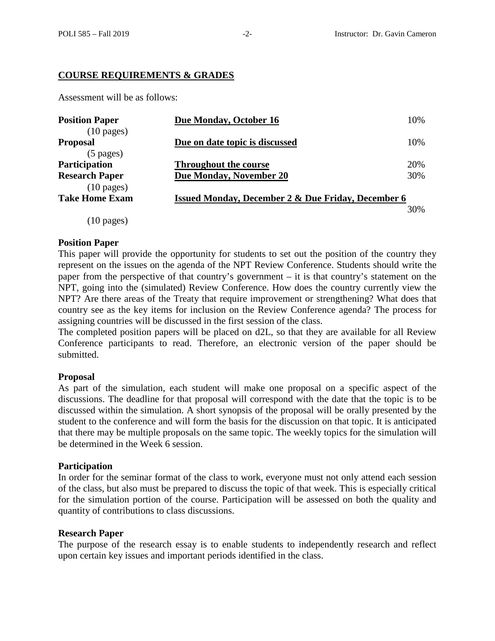### **COURSE REQUIREMENTS & GRADES**

Assessment will be as follows:

| <b>Position Paper</b><br>$(10 \text{ pages})$                         | Due Monday, October 16                                        | 10%        |
|-----------------------------------------------------------------------|---------------------------------------------------------------|------------|
| <b>Proposal</b><br>$(5 \text{ pages})$                                | Due on date topic is discussed                                | 10%        |
| <b>Participation</b><br><b>Research Paper</b>                         | <b>Throughout the course</b><br>Due Monday, November 20       | 20%<br>30% |
| $(10 \text{ pages})$<br><b>Take Home Exam</b><br>$(10 \text{ pages})$ | <b>Issued Monday, December 2 &amp; Due Friday, December 6</b> | 30%        |

#### **Position Paper**

This paper will provide the opportunity for students to set out the position of the country they represent on the issues on the agenda of the NPT Review Conference. Students should write the paper from the perspective of that country's government – it is that country's statement on the NPT, going into the (simulated) Review Conference. How does the country currently view the NPT? Are there areas of the Treaty that require improvement or strengthening? What does that country see as the key items for inclusion on the Review Conference agenda? The process for assigning countries will be discussed in the first session of the class.

The completed position papers will be placed on d2L, so that they are available for all Review Conference participants to read. Therefore, an electronic version of the paper should be submitted.

#### **Proposal**

As part of the simulation, each student will make one proposal on a specific aspect of the discussions. The deadline for that proposal will correspond with the date that the topic is to be discussed within the simulation. A short synopsis of the proposal will be orally presented by the student to the conference and will form the basis for the discussion on that topic. It is anticipated that there may be multiple proposals on the same topic. The weekly topics for the simulation will be determined in the Week 6 session.

#### **Participation**

In order for the seminar format of the class to work, everyone must not only attend each session of the class, but also must be prepared to discuss the topic of that week. This is especially critical for the simulation portion of the course. Participation will be assessed on both the quality and quantity of contributions to class discussions.

#### **Research Paper**

The purpose of the research essay is to enable students to independently research and reflect upon certain key issues and important periods identified in the class.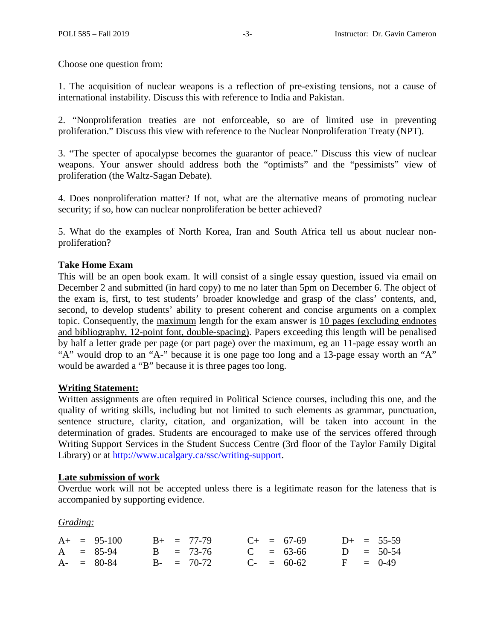Choose one question from:

1. The acquisition of nuclear weapons is a reflection of pre-existing tensions, not a cause of international instability. Discuss this with reference to India and Pakistan.

2. "Nonproliferation treaties are not enforceable, so are of limited use in preventing proliferation." Discuss this view with reference to the Nuclear Nonproliferation Treaty (NPT).

3. "The specter of apocalypse becomes the guarantor of peace." Discuss this view of nuclear weapons. Your answer should address both the "optimists" and the "pessimists" view of proliferation (the Waltz-Sagan Debate).

4. Does nonproliferation matter? If not, what are the alternative means of promoting nuclear security; if so, how can nuclear nonproliferation be better achieved?

5. What do the examples of North Korea, Iran and South Africa tell us about nuclear nonproliferation?

# **Take Home Exam**

This will be an open book exam. It will consist of a single essay question, issued via email on December 2 and submitted (in hard copy) to me no later than 5pm on December 6. The object of the exam is, first, to test students' broader knowledge and grasp of the class' contents, and, second, to develop students' ability to present coherent and concise arguments on a complex topic. Consequently, the maximum length for the exam answer is 10 pages (excluding endnotes and bibliography, 12-point font, double-spacing). Papers exceeding this length will be penalised by half a letter grade per page (or part page) over the maximum, eg an 11-page essay worth an "A" would drop to an "A-" because it is one page too long and a 13-page essay worth an "A" would be awarded a "B" because it is three pages too long.

# **Writing Statement:**

Written assignments are often required in Political Science courses, including this one, and the quality of writing skills, including but not limited to such elements as grammar, punctuation, sentence structure, clarity, citation, and organization, will be taken into account in the determination of grades. Students are encouraged to make use of the services offered through Writing Support Services in the Student Success Centre (3rd floor of the Taylor Family Digital Library) or at [http://www.ucalgary.ca/ssc/writing-support.](http://www.ucalgary.ca/ssc/writing-support)

#### **Late submission of work**

Overdue work will not be accepted unless there is a legitimate reason for the lateness that is accompanied by supporting evidence.

*Grading:* 

|  | $A+ = 95-100$ |  | $B_{+}$ = 77-79 |  | $C_{+}$ = 67-69 |  | $D+ = 55-59$ |
|--|---------------|--|-----------------|--|-----------------|--|--------------|
|  | $A = 85-94$   |  | $B = 73-76$     |  | $C = 63-66$     |  | $D = 50-54$  |
|  | $A - = 80-84$ |  | $B - = 70-72$   |  | $C_{-}$ = 60-62 |  | $F = 0-49$   |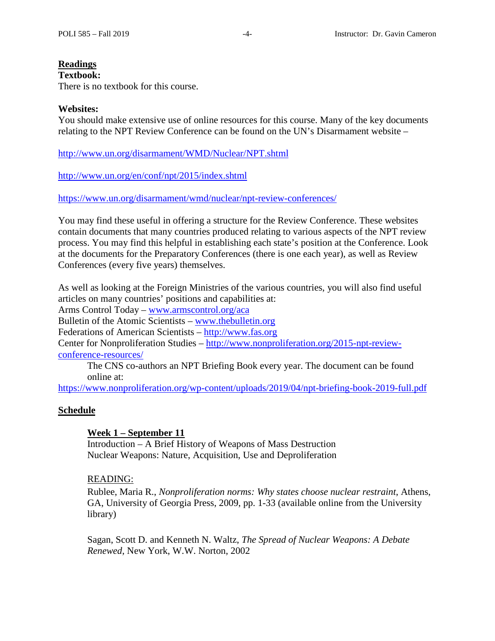# **Readings**

# **Textbook:**

There is no textbook for this course.

#### **Websites:**

You should make extensive use of online resources for this course. Many of the key documents relating to the NPT Review Conference can be found on the UN's Disarmament website –

<http://www.un.org/disarmament/WMD/Nuclear/NPT.shtml>

<http://www.un.org/en/conf/npt/2015/index.shtml>

<https://www.un.org/disarmament/wmd/nuclear/npt-review-conferences/>

You may find these useful in offering a structure for the Review Conference. These websites contain documents that many countries produced relating to various aspects of the NPT review process. You may find this helpful in establishing each state's position at the Conference. Look at the documents for the Preparatory Conferences (there is one each year), as well as Review Conferences (every five years) themselves.

As well as looking at the Foreign Ministries of the various countries, you will also find useful articles on many countries' positions and capabilities at: Arms Control Today – [www.armscontrol.org/aca](http://www.armscontrol.org/aca) Bulletin of the Atomic Scientists – [www.thebulletin.org](http://www.thebulletin.org/) Federations of American Scientists – [http://www.fas.org](http://www.fas.org/) Center for Nonproliferation Studies – [http://www.nonproliferation.org/2015-npt-review](http://www.nonproliferation.org/2015-npt-review-conference-resources/)[conference-resources/](http://www.nonproliferation.org/2015-npt-review-conference-resources/)

The CNS co-authors an NPT Briefing Book every year. The document can be found online at:

<https://www.nonproliferation.org/wp-content/uploads/2019/04/npt-briefing-book-2019-full.pdf>

#### **Schedule**

#### **Week 1 – September 11**

Introduction – A Brief History of Weapons of Mass Destruction Nuclear Weapons: Nature, Acquisition, Use and Deproliferation

#### READING:

Rublee, Maria R., *Nonproliferation norms: Why states choose nuclear restraint*, Athens, GA, University of Georgia Press, 2009, pp. 1-33 (available online from the University library)

Sagan, Scott D. and Kenneth N. Waltz, *The Spread of Nuclear Weapons: A Debate Renewed*, New York, W.W. Norton, 2002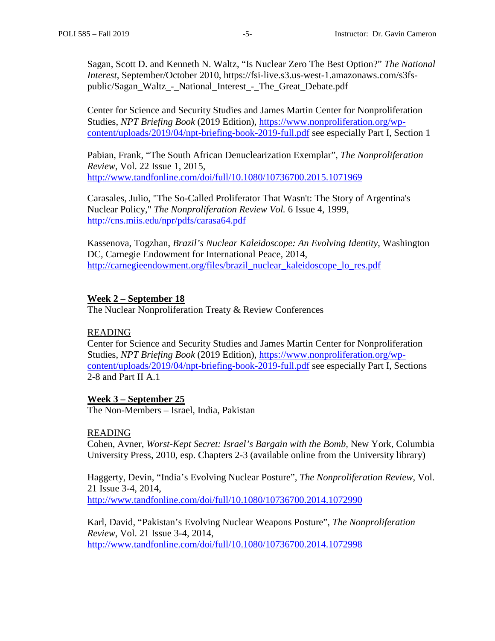Sagan, Scott D. and Kenneth N. Waltz, "Is Nuclear Zero The Best Option?" *The National Interest*, September/October 2010, https://fsi-live.s3.us-west-1.amazonaws.com/s3fspublic/Sagan\_Waltz\_-\_National\_Interest\_-\_The\_Great\_Debate.pdf

Center for Science and Security Studies and James Martin Center for Nonproliferation Studies, *NPT Briefing Book* (2019 Edition), [https://www.nonproliferation.org/wp](https://www.nonproliferation.org/wp-content/uploads/2019/04/npt-briefing-book-2019-full.pdf)[content/uploads/2019/04/npt-briefing-book-2019-full.pdf](https://www.nonproliferation.org/wp-content/uploads/2019/04/npt-briefing-book-2019-full.pdf) see especially Part I, Section 1

Pabian, Frank, "The South African Denuclearization Exemplar", *The Nonproliferation Review*, Vol. 22 Issue 1, 2015, <http://www.tandfonline.com/doi/full/10.1080/10736700.2015.1071969>

Carasales, Julio, "The So-Called Proliferator That Wasn't: The Story of Argentina's Nuclear Policy," *The Nonproliferation Review Vol.* 6 Issue 4, 1999, <http://cns.miis.edu/npr/pdfs/carasa64.pdf>

Kassenova, Togzhan, *Brazil's Nuclear Kaleidoscope: An Evolving Identity*, Washington DC, Carnegie Endowment for International Peace, 2014, [http://carnegieendowment.org/files/brazil\\_nuclear\\_kaleidoscope\\_lo\\_res.pdf](http://carnegieendowment.org/files/brazil_nuclear_kaleidoscope_lo_res.pdf)

#### **Week 2 – September 18**

The Nuclear Nonproliferation Treaty & Review Conferences

#### READING

Center for Science and Security Studies and James Martin Center for Nonproliferation Studies, *NPT Briefing Book* (2019 Edition), [https://www.nonproliferation.org/wp](https://www.nonproliferation.org/wp-content/uploads/2019/04/npt-briefing-book-2019-full.pdf)[content/uploads/2019/04/npt-briefing-book-2019-full.pdf](https://www.nonproliferation.org/wp-content/uploads/2019/04/npt-briefing-book-2019-full.pdf) see especially Part I, Sections 2-8 and Part II A.1

#### **Week 3 – September 25**

The Non-Members – Israel, India, Pakistan

#### READING

Cohen, Avner, *Worst-Kept Secret: Israel's Bargain with the Bomb,* New York, Columbia University Press, 2010, esp. Chapters 2-3 (available online from the University library)

Haggerty, Devin, "India's Evolving Nuclear Posture", *The Nonproliferation Review*, Vol. 21 Issue 3-4, 2014, <http://www.tandfonline.com/doi/full/10.1080/10736700.2014.1072990>

Karl, David, "Pakistan's Evolving Nuclear Weapons Posture", *The Nonproliferation Review*, Vol. 21 Issue 3-4, 2014, <http://www.tandfonline.com/doi/full/10.1080/10736700.2014.1072998>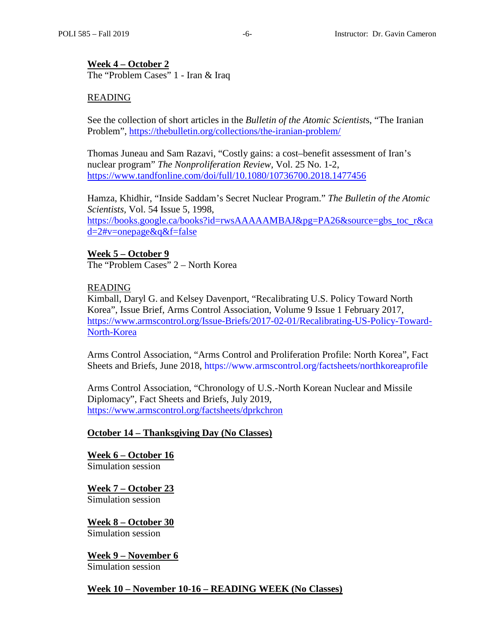## **Week 4 – October 2**

The "Problem Cases" 1 - Iran & Iraq

### READING

See the collection of short articles in the *Bulletin of the Atomic Scientist*s, "The Iranian Problem",<https://thebulletin.org/collections/the-iranian-problem/>

Thomas Juneau and Sam Razavi, "Costly gains: a cost–benefit assessment of Iran's nuclear program" *The Nonproliferation Review,* Vol. 25 No. 1-2, <https://www.tandfonline.com/doi/full/10.1080/10736700.2018.1477456>

Hamza, Khidhir, "Inside Saddam's Secret Nuclear Program." *The Bulletin of the Atomic Scientists,* Vol. 54 Issue 5, 1998, [https://books.google.ca/books?id=rwsAAAAAMBAJ&pg=PA26&source=gbs\\_toc\\_r&ca](https://books.google.ca/books?id=rwsAAAAAMBAJ&pg=PA26&source=gbs_toc_r&cad=2#v=onepage&q&f=false) [d=2#v=onepage&q&f=false](https://books.google.ca/books?id=rwsAAAAAMBAJ&pg=PA26&source=gbs_toc_r&cad=2#v=onepage&q&f=false)

### **Week 5 – October 9**

The "Problem Cases" 2 – North Korea

#### READING

Kimball, Daryl G. and Kelsey Davenport, "Recalibrating U.S. Policy Toward North Korea", Issue Brief, Arms Control Association, Volume 9 Issue 1 February 2017, [https://www.armscontrol.org/Issue-Briefs/2017-02-01/Recalibrating-US-Policy-Toward-](https://www.armscontrol.org/Issue-Briefs/2017-02-01/Recalibrating-US-Policy-Toward-North-Korea)[North-Korea](https://www.armscontrol.org/Issue-Briefs/2017-02-01/Recalibrating-US-Policy-Toward-North-Korea)

Arms Control Association, "Arms Control and Proliferation Profile: North Korea", Fact Sheets and Briefs, June 2018,<https://www.armscontrol.org/factsheets/northkoreaprofile>

Arms Control Association, "Chronology of U.S.-North Korean Nuclear and Missile Diplomacy", Fact Sheets and Briefs, July 2019, <https://www.armscontrol.org/factsheets/dprkchron>

#### **October 14 – Thanksgiving Day (No Classes)**

**Week 6 – October 16** Simulation session

**Week 7 – October 23** Simulation session

**Week 8 – October 30** Simulation session

**Week 9 – November 6** Simulation session

#### **Week 10 – November 10-16 – READING WEEK (No Classes)**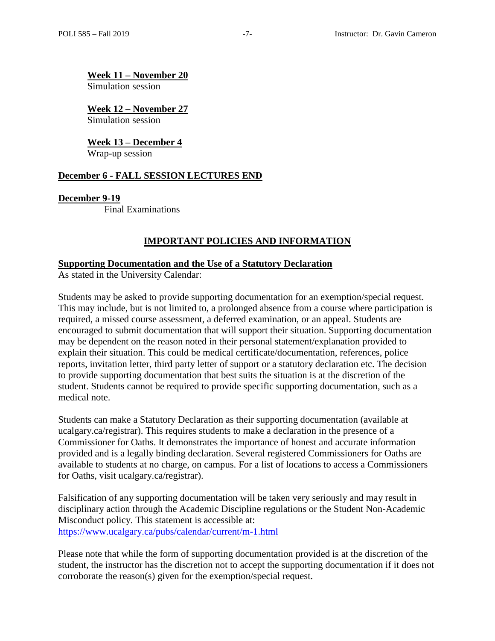**Week 11 – November 20**

Simulation session

**Week 12 – November 27** Simulation session

**Week 13 – December 4** Wrap-up session

### **December 6 - FALL SESSION LECTURES END**

**December 9-19**

Final Examinations

# **IMPORTANT POLICIES AND INFORMATION**

#### **Supporting Documentation and the Use of a Statutory Declaration**

As stated in the University Calendar:

Students may be asked to provide supporting documentation for an exemption/special request. This may include, but is not limited to, a prolonged absence from a course where participation is required, a missed course assessment, a deferred examination, or an appeal. Students are encouraged to submit documentation that will support their situation. Supporting documentation may be dependent on the reason noted in their personal statement/explanation provided to explain their situation. This could be medical certificate/documentation, references, police reports, invitation letter, third party letter of support or a statutory declaration etc. The decision to provide supporting documentation that best suits the situation is at the discretion of the student. Students cannot be required to provide specific supporting documentation, such as a medical note.

Students can make a Statutory Declaration as their supporting documentation (available at ucalgary.ca/registrar). This requires students to make a declaration in the presence of a Commissioner for Oaths. It demonstrates the importance of honest and accurate information provided and is a legally binding declaration. Several registered Commissioners for Oaths are available to students at no charge, on campus. For a list of locations to access a Commissioners for Oaths, visit ucalgary.ca/registrar).

Falsification of any supporting documentation will be taken very seriously and may result in disciplinary action through the Academic Discipline regulations or the Student Non-Academic Misconduct policy. This statement is accessible at: <https://www.ucalgary.ca/pubs/calendar/current/m-1.html>

Please note that while the form of supporting documentation provided is at the discretion of the student, the instructor has the discretion not to accept the supporting documentation if it does not corroborate the reason(s) given for the exemption/special request.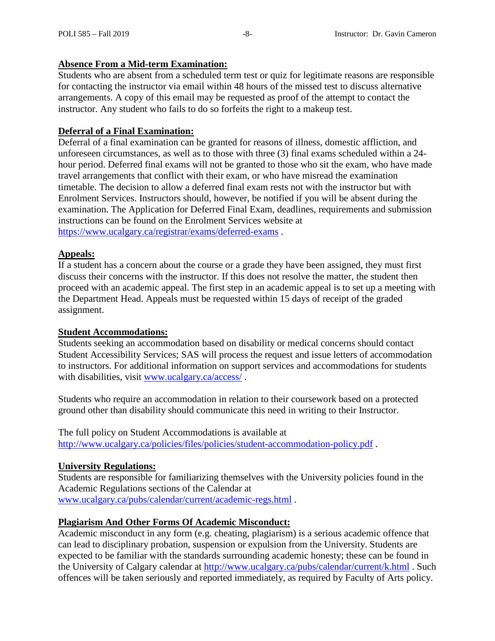# **Absence From a Mid-term Examination:**

Students who are absent from a scheduled term test or quiz for legitimate reasons are responsible for contacting the instructor via email within 48 hours of the missed test to discuss alternative arrangements. A copy of this email may be requested as proof of the attempt to contact the instructor. Any student who fails to do so forfeits the right to a makeup test.

# **Deferral of a Final Examination:**

Deferral of a final examination can be granted for reasons of illness, domestic affliction, and unforeseen circumstances, as well as to those with three (3) final exams scheduled within a 24 hour period. Deferred final exams will not be granted to those who sit the exam, who have made travel arrangements that conflict with their exam, or who have misread the examination timetable. The decision to allow a deferred final exam rests not with the instructor but with Enrolment Services. Instructors should, however, be notified if you will be absent during the examination. The Application for Deferred Final Exam, deadlines, requirements and submission instructions can be found on the Enrolment Services website at <https://www.ucalgary.ca/registrar/exams/deferred-exams> .

### **Appeals:**

If a student has a concern about the course or a grade they have been assigned, they must first discuss their concerns with the instructor. If this does not resolve the matter, the student then proceed with an academic appeal. The first step in an academic appeal is to set up a meeting with the Department Head. Appeals must be requested within 15 days of receipt of the graded assignment.

#### **Student Accommodations:**

Students seeking an accommodation based on disability or medical concerns should contact Student Accessibility Services; SAS will process the request and issue letters of accommodation to instructors. For additional information on support services and accommodations for students with disabilities, visit [www.ucalgary.ca/access/](http://www.ucalgary.ca/access/).

Students who require an accommodation in relation to their coursework based on a protected ground other than disability should communicate this need in writing to their Instructor.

The full policy on Student Accommodations is available at <http://www.ucalgary.ca/policies/files/policies/student-accommodation-policy.pdf> .

# **University Regulations:**

Students are responsible for familiarizing themselves with the University policies found in the Academic Regulations sections of the Calendar at [www.ucalgary.ca/pubs/calendar/current/academic-regs.html](http://www.ucalgary.ca/pubs/calendar/current/academic-regs.html) .

# **Plagiarism And Other Forms Of Academic Misconduct:**

Academic misconduct in any form (e.g. cheating, plagiarism) is a serious academic offence that can lead to disciplinary probation, suspension or expulsion from the University. Students are expected to be familiar with the standards surrounding academic honesty; these can be found in the University of Calgary calendar at<http://www.ucalgary.ca/pubs/calendar/current/k.html> . Such offences will be taken seriously and reported immediately, as required by Faculty of Arts policy.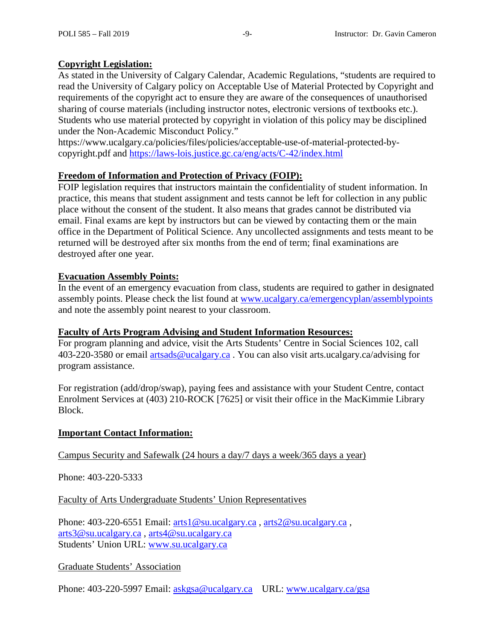# **Copyright Legislation:**

As stated in the University of Calgary Calendar, Academic Regulations, "students are required to read the University of Calgary policy on Acceptable Use of Material Protected by Copyright and requirements of the copyright act to ensure they are aware of the consequences of unauthorised sharing of course materials (including instructor notes, electronic versions of textbooks etc.). Students who use material protected by copyright in violation of this policy may be disciplined under the Non-Academic Misconduct Policy."

https://www.ucalgary.ca/policies/files/policies/acceptable-use-of-material-protected-bycopyright.pdf and<https://laws-lois.justice.gc.ca/eng/acts/C-42/index.html>

# **Freedom of Information and Protection of Privacy (FOIP):**

FOIP legislation requires that instructors maintain the confidentiality of student information. In practice, this means that student assignment and tests cannot be left for collection in any public place without the consent of the student. It also means that grades cannot be distributed via email. Final exams are kept by instructors but can be viewed by contacting them or the main office in the Department of Political Science. Any uncollected assignments and tests meant to be returned will be destroyed after six months from the end of term; final examinations are destroyed after one year.

# **Evacuation Assembly Points:**

In the event of an emergency evacuation from class, students are required to gather in designated assembly points. Please check the list found at [www.ucalgary.ca/emergencyplan/assemblypoints](http://www.ucalgary.ca/emergencyplan/assemblypoints) and note the assembly point nearest to your classroom.

# **Faculty of Arts Program Advising and Student Information Resources:**

For program planning and advice, visit the Arts Students' Centre in Social Sciences 102, call 403-220-3580 or email [artsads@ucalgary.ca](mailto:artsads@ucalgary.ca) . You can also visit arts.ucalgary.ca/advising for program assistance.

For registration (add/drop/swap), paying fees and assistance with your Student Centre, contact Enrolment Services at (403) 210-ROCK [7625] or visit their office in the MacKimmie Library Block.

# **Important Contact Information:**

Campus Security and Safewalk (24 hours a day/7 days a week/365 days a year)

Phone: 403-220-5333

Faculty of Arts Undergraduate Students' Union Representatives

Phone: 403-220-6551 Email: [arts1@su.ucalgary.ca](mailto:arts1@su.ucalgary.ca) , [arts2@su.ucalgary.ca](mailto:arts2@su.ucalgary.ca) , [arts3@su.ucalgary.ca](mailto:arts3@su.ucalgary.ca) , [arts4@su.ucalgary.ca](mailto:arts4@su.ucalgary.ca) Students' Union URL: [www.su.ucalgary.ca](http://www.su.ucalgary.ca/)

# Graduate Students' Association

Phone: 403-220-5997 Email: [askgsa@ucalgary.ca](mailto:askgsa@ucalgary.ca) URL: [www.ucalgary.ca/gsa](http://www.ucalgary.ca/gsa)